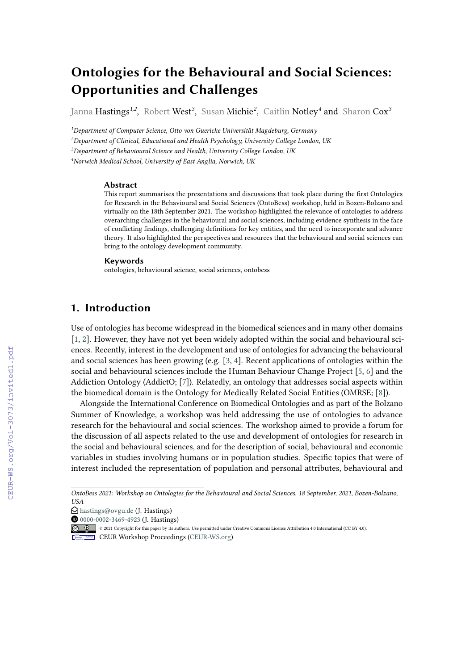# **Ontologies for the Behavioural and Social Sciences: Opportunities and Challenges**

Janna Hastings*1,2* , Robert West*<sup>3</sup>* , Susan Michie*<sup>2</sup>* , Caitlin Notley*<sup>4</sup>* and Sharon Cox*<sup>3</sup>*

*Department of Computer Science, Otto von Guericke Universität Magdeburg, Germany Department of Clinical, Educational and Health Psychology, University College London, UK Department of Behavioural Science and Health, University College London, UK Norwich Medical School, University of East Anglia, Norwich, UK*

#### **Abstract**

This report summarises the presentations and discussions that took place during the first Ontologies for Research in the Behavioural and Social Sciences (OntoBess) workshop, held in Bozen-Bolzano and virtually on the 18th September 2021. The workshop highlighted the relevance of ontologies to address overarching challenges in the behavioural and social sciences, including evidence synthesis in the face of conflicting findings, challenging definitions for key entities, and the need to incorporate and advance theory. It also highlighted the perspectives and resources that the behavioural and social sciences can bring to the ontology development community.

#### **Keywords**

ontologies, behavioural science, social sciences, ontobess

## **1. Introduction**

Use of ontologies has become widespread in the biomedical sciences and in many other domains [\[1,](#page--1-0) [2\]](#page--1-1). However, they have not yet been widely adopted within the social and behavioural sciences. Recently, interest in the development and use of ontologies for advancing the behavioural and social sciences has been growing (e.g. [\[3,](#page--1-2) [4\]](#page--1-3). Recent applications of ontologies within the social and behavioural sciences include the Human Behaviour Change Project [\[5,](#page--1-4) [6\]](#page--1-5) and the Addiction Ontology (AddictO; [\[7\]](#page--1-6)). Relatedly, an ontology that addresses social aspects within the biomedical domain is the Ontology for Medically Related Social Entities (OMRSE; [\[8\]](#page--1-7)).

Alongside the International Conference on Biomedical Ontologies and as part of the Bolzano Summer of Knowledge, a workshop was held addressing the use of ontologies to advance research for the behavioural and social sciences. The workshop aimed to provide a forum for the discussion of all aspects related to the use and development of ontologies for research in the social and behavioural sciences, and for the description of social, behavioural and economic variables in studies involving humans or in population studies. Specific topics that were of interest included the representation of population and personal attributes, behavioural and

*OntoBess 2021: Workshop on Ontologies for the Behavioural and Social Sciences, 18 September, 2021, Bozen-Bolzano, USA*

 $\bigcirc$  [hastings@ovgu.de](mailto:hastings@ovgu.de) (J. Hastings)

**O** [0000-0002-3469-4923](https://orcid.org/0000-0002-3469-4923) (J. Hastings)

<sup>© 2021</sup> Copyright for this paper by its authors. Use permitted under Creative Commons License Attribution 4.0 International (CC BY 4.0).

CEUR Workshop [Proceedings](http://ceur-ws.org) [\(CEUR-WS.org\)](http://ceur-ws.org)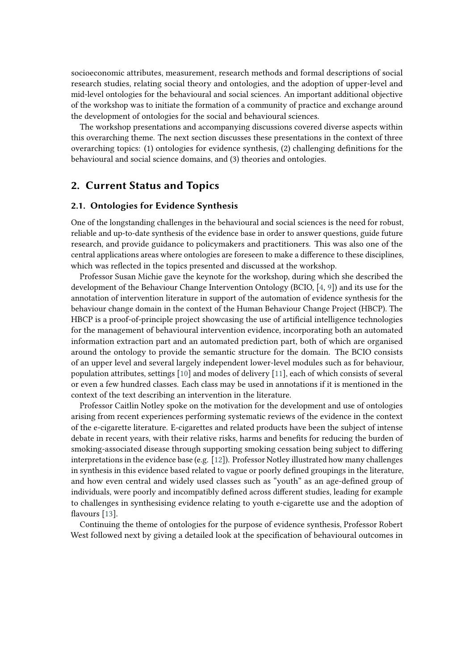socioeconomic attributes, measurement, research methods and formal descriptions of social research studies, relating social theory and ontologies, and the adoption of upper-level and mid-level ontologies for the behavioural and social sciences. An important additional objective of the workshop was to initiate the formation of a community of practice and exchange around the development of ontologies for the social and behavioural sciences.

The workshop presentations and accompanying discussions covered diverse aspects within this overarching theme. The next section discusses these presentations in the context of three overarching topics: (1) ontologies for evidence synthesis, (2) challenging definitions for the behavioural and social science domains, and (3) theories and ontologies.

## **2. Current Status and Topics**

#### **2.1. Ontologies for Evidence Synthesis**

One of the longstanding challenges in the behavioural and social sciences is the need for robust, reliable and up-to-date synthesis of the evidence base in order to answer questions, guide future research, and provide guidance to policymakers and practitioners. This was also one of the central applications areas where ontologies are foreseen to make a difference to these disciplines, which was reflected in the topics presented and discussed at the workshop.

Professor Susan Michie gave the keynote for the workshop, during which she described the development of the Behaviour Change Intervention Ontology (BCIO, [\[4,](#page-5-0) [9\]](#page-5-1)) and its use for the annotation of intervention literature in support of the automation of evidence synthesis for the behaviour change domain in the context of the Human Behaviour Change Project (HBCP). The HBCP is a proof-of-principle project showcasing the use of artificial intelligence technologies for the management of behavioural intervention evidence, incorporating both an automated information extraction part and an automated prediction part, both of which are organised around the ontology to provide the semantic structure for the domain. The BCIO consists of an upper level and several largely independent lower-level modules such as for behaviour, population attributes, settings [\[10\]](#page-5-2) and modes of delivery [\[11\]](#page-5-3), each of which consists of several or even a few hundred classes. Each class may be used in annotations if it is mentioned in the context of the text describing an intervention in the literature.

Professor Caitlin Notley spoke on the motivation for the development and use of ontologies arising from recent experiences performing systematic reviews of the evidence in the context of the e-cigarette literature. E-cigarettes and related products have been the subject of intense debate in recent years, with their relative risks, harms and benefits for reducing the burden of smoking-associated disease through supporting smoking cessation being subject to differing interpretations in the evidence base (e.g. [\[12\]](#page-5-4)). Professor Notley illustrated how many challenges in synthesis in this evidence based related to vague or poorly defined groupings in the literature, and how even central and widely used classes such as "youth" as an age-defined group of individuals, were poorly and incompatibly defined across different studies, leading for example to challenges in synthesising evidence relating to youth e-cigarette use and the adoption of flavours [\[13\]](#page-5-5).

Continuing the theme of ontologies for the purpose of evidence synthesis, Professor Robert West followed next by giving a detailed look at the specification of behavioural outcomes in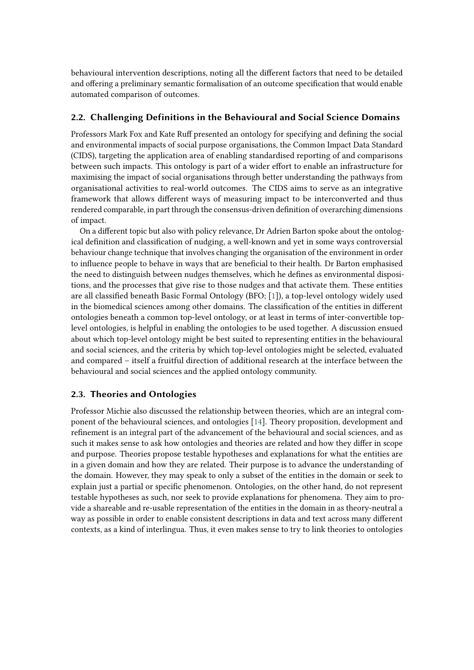behavioural intervention descriptions, noting all the different factors that need to be detailed and offering a preliminary semantic formalisation of an outcome specification that would enable automated comparison of outcomes.

### **2.2. Challenging Definitions in the Behavioural and Social Science Domains**

Professors Mark Fox and Kate Ruff presented an ontology for specifying and defining the social and environmental impacts of social purpose organisations, the Common Impact Data Standard (CIDS), targeting the application area of enabling standardised reporting of and comparisons between such impacts. This ontology is part of a wider effort to enable an infrastructure for maximising the impact of social organisations through better understanding the pathways from organisational activities to real-world outcomes. The CIDS aims to serve as an integrative framework that allows different ways of measuring impact to be interconverted and thus rendered comparable, in part through the consensus-driven definition of overarching dimensions of impact.

On a different topic but also with policy relevance, Dr Adrien Barton spoke about the ontological definition and classification of nudging, a well-known and yet in some ways controversial behaviour change technique that involves changing the organisation of the environment in order to influence people to behave in ways that are beneficial to their health. Dr Barton emphasised the need to distinguish between nudges themselves, which he defines as environmental dispositions, and the processes that give rise to those nudges and that activate them. These entities are all classified beneath Basic Formal Ontology (BFO; [\[1\]](#page-4-0)), a top-level ontology widely used in the biomedical sciences among other domains. The classification of the entities in different ontologies beneath a common top-level ontology, or at least in terms of inter-convertible toplevel ontologies, is helpful in enabling the ontologies to be used together. A discussion ensued about which top-level ontology might be best suited to representing entities in the behavioural and social sciences, and the criteria by which top-level ontologies might be selected, evaluated and compared – itself a fruitful direction of additional research at the interface between the behavioural and social sciences and the applied ontology community.

#### **2.3. Theories and Ontologies**

Professor Michie also discussed the relationship between theories, which are an integral component of the behavioural sciences, and ontologies [\[14\]](#page-6-0). Theory proposition, development and refinement is an integral part of the advancement of the behavioural and social sciences, and as such it makes sense to ask how ontologies and theories are related and how they differ in scope and purpose. Theories propose testable hypotheses and explanations for what the entities are in a given domain and how they are related. Their purpose is to advance the understanding of the domain. However, they may speak to only a subset of the entities in the domain or seek to explain just a partial or specific phenomenon. Ontologies, on the other hand, do not represent testable hypotheses as such, nor seek to provide explanations for phenomena. They aim to provide a shareable and re-usable representation of the entities in the domain in as theory-neutral a way as possible in order to enable consistent descriptions in data and text across many different contexts, as a kind of interlingua. Thus, it even makes sense to try to link theories to ontologies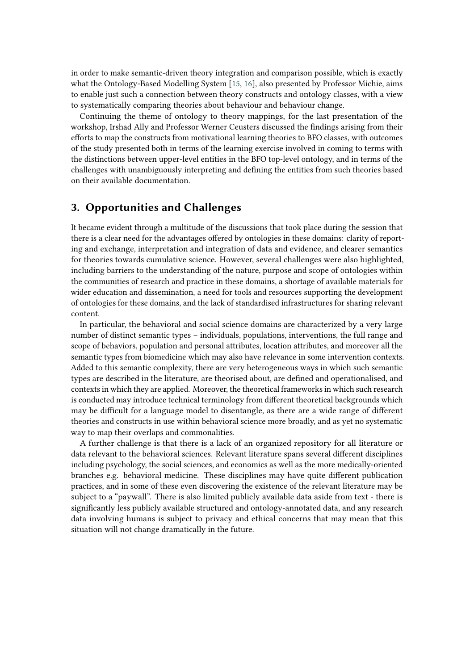in order to make semantic-driven theory integration and comparison possible, which is exactly what the Ontology-Based Modelling System [\[15,](#page-6-1) [16\]](#page-6-2), also presented by Professor Michie, aims to enable just such a connection between theory constructs and ontology classes, with a view to systematically comparing theories about behaviour and behaviour change.

Continuing the theme of ontology to theory mappings, for the last presentation of the workshop, Irshad Ally and Professor Werner Ceusters discussed the findings arising from their efforts to map the constructs from motivational learning theories to BFO classes, with outcomes of the study presented both in terms of the learning exercise involved in coming to terms with the distinctions between upper-level entities in the BFO top-level ontology, and in terms of the challenges with unambiguously interpreting and defining the entities from such theories based on their available documentation.

# **3. Opportunities and Challenges**

It became evident through a multitude of the discussions that took place during the session that there is a clear need for the advantages offered by ontologies in these domains: clarity of reporting and exchange, interpretation and integration of data and evidence, and clearer semantics for theories towards cumulative science. However, several challenges were also highlighted, including barriers to the understanding of the nature, purpose and scope of ontologies within the communities of research and practice in these domains, a shortage of available materials for wider education and dissemination, a need for tools and resources supporting the development of ontologies for these domains, and the lack of standardised infrastructures for sharing relevant content.

In particular, the behavioral and social science domains are characterized by a very large number of distinct semantic types – individuals, populations, interventions, the full range and scope of behaviors, population and personal attributes, location attributes, and moreover all the semantic types from biomedicine which may also have relevance in some intervention contexts. Added to this semantic complexity, there are very heterogeneous ways in which such semantic types are described in the literature, are theorised about, are defined and operationalised, and contexts in which they are applied. Moreover, the theoretical frameworks in which such research is conducted may introduce technical terminology from different theoretical backgrounds which may be difficult for a language model to disentangle, as there are a wide range of different theories and constructs in use within behavioral science more broadly, and as yet no systematic way to map their overlaps and commonalities.

A further challenge is that there is a lack of an organized repository for all literature or data relevant to the behavioral sciences. Relevant literature spans several different disciplines including psychology, the social sciences, and economics as well as the more medically-oriented branches e.g. behavioral medicine. These disciplines may have quite different publication practices, and in some of these even discovering the existence of the relevant literature may be subject to a "paywall". There is also limited publicly available data aside from text - there is significantly less publicly available structured and ontology-annotated data, and any research data involving humans is subject to privacy and ethical concerns that may mean that this situation will not change dramatically in the future.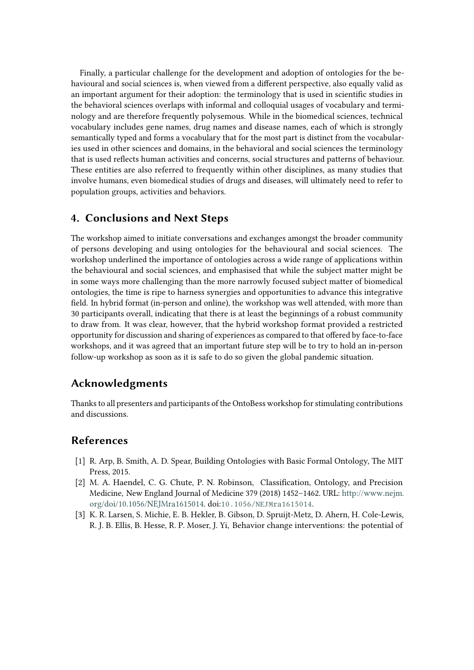Finally, a particular challenge for the development and adoption of ontologies for the behavioural and social sciences is, when viewed from a different perspective, also equally valid as an important argument for their adoption: the terminology that is used in scientific studies in the behavioral sciences overlaps with informal and colloquial usages of vocabulary and terminology and are therefore frequently polysemous. While in the biomedical sciences, technical vocabulary includes gene names, drug names and disease names, each of which is strongly semantically typed and forms a vocabulary that for the most part is distinct from the vocabularies used in other sciences and domains, in the behavioral and social sciences the terminology that is used reflects human activities and concerns, social structures and patterns of behaviour. These entities are also referred to frequently within other disciplines, as many studies that involve humans, even biomedical studies of drugs and diseases, will ultimately need to refer to population groups, activities and behaviors.

# **4. Conclusions and Next Steps**

The workshop aimed to initiate conversations and exchanges amongst the broader community of persons developing and using ontologies for the behavioural and social sciences. The workshop underlined the importance of ontologies across a wide range of applications within the behavioural and social sciences, and emphasised that while the subject matter might be in some ways more challenging than the more narrowly focused subject matter of biomedical ontologies, the time is ripe to harness synergies and opportunities to advance this integrative field. In hybrid format (in-person and online), the workshop was well attended, with more than 30 participants overall, indicating that there is at least the beginnings of a robust community to draw from. It was clear, however, that the hybrid workshop format provided a restricted opportunity for discussion and sharing of experiences as compared to that offered by face-to-face workshops, and it was agreed that an important future step will be to try to hold an in-person follow-up workshop as soon as it is safe to do so given the global pandemic situation.

# **Acknowledgments**

Thanks to all presenters and participants of the OntoBess workshop for stimulating contributions and discussions.

# **References**

- <span id="page-4-0"></span>[1] R. Arp, B. Smith, A. D. Spear, Building Ontologies with Basic Formal Ontology, The MIT Press, 2015.
- [2] M. A. Haendel, C. G. Chute, P. N. Robinson, Classification, Ontology, and Precision Medicine, New England Journal of Medicine 379 (2018) 1452–1462. URL: [http://www.nejm.](http://www.nejm.org/doi/10.1056/NEJMra1615014) [org/doi/10.1056/NEJMra1615014.](http://www.nejm.org/doi/10.1056/NEJMra1615014) doi:[10.1056/NEJMra1615014](http://dx.doi.org/10.1056/NEJMra1615014).
- [3] K. R. Larsen, S. Michie, E. B. Hekler, B. Gibson, D. Spruijt-Metz, D. Ahern, H. Cole-Lewis, R. J. B. Ellis, B. Hesse, R. P. Moser, J. Yi, Behavior change interventions: the potential of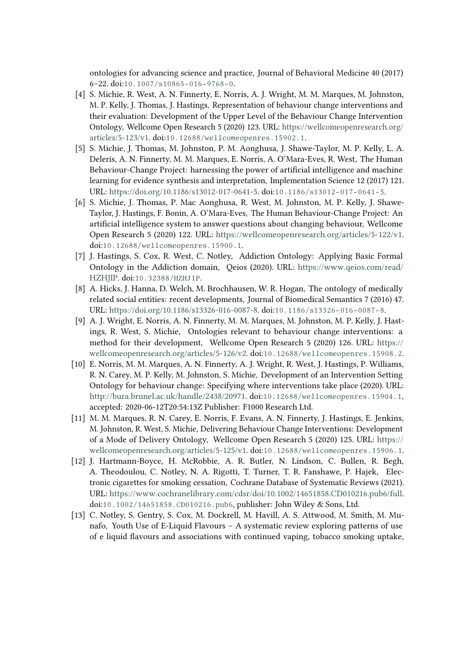ontologies for advancing science and practice, Journal of Behavioral Medicine 40 (2017) 6–22. doi:[10.1007/s10865- 016- 9768- 0](http://dx.doi.org/10.1007/s10865-016-9768-0).

- <span id="page-5-0"></span>[4] S. Michie, R. West, A. N. Finnerty, E. Norris, A. J. Wright, M. M. Marques, M. Johnston, M. P. Kelly, J. Thomas, J. Hastings, Representation of behaviour change interventions and their evaluation: Development of the Upper Level of the Behaviour Change Intervention Ontology, Wellcome Open Research 5 (2020) 123. URL: [https://wellcomeopenresearch.org/](https://wellcomeopenresearch.org/articles/5-123/v1) [articles/5-123/v1.](https://wellcomeopenresearch.org/articles/5-123/v1) doi:[10.12688/wellcomeopenres.15902.1](http://dx.doi.org/10.12688/wellcomeopenres.15902.1).
- [5] S. Michie, J. Thomas, M. Johnston, P. M. Aonghusa, J. Shawe-Taylor, M. P. Kelly, L. A. Deleris, A. N. Finnerty, M. M. Marques, E. Norris, A. O'Mara-Eves, R. West, The Human Behaviour-Change Project: harnessing the power of artificial intelligence and machine learning for evidence synthesis and interpretation, Implementation Science 12 (2017) 121. URL: [https://doi.org/10.1186/s13012-017-0641-5.](https://doi.org/10.1186/s13012-017-0641-5) doi:[10.1186/s13012- 017- 0641- 5](http://dx.doi.org/10.1186/s13012-017-0641-5).
- [6] S. Michie, J. Thomas, P. Mac Aonghusa, R. West, M. Johnston, M. P. Kelly, J. Shawe-Taylor, J. Hastings, F. Bonin, A. O'Mara-Eves, The Human Behaviour-Change Project: An artificial intelligence system to answer questions about changing behaviour, Wellcome Open Research 5 (2020) 122. URL: [https://wellcomeopenresearch.org/articles/5-122/v1.](https://wellcomeopenresearch.org/articles/5-122/v1) doi:[10.12688/wellcomeopenres.15900.1](http://dx.doi.org/10.12688/wellcomeopenres.15900.1).
- [7] J. Hastings, S. Cox, R. West, C. Notley, Addiction Ontology: Applying Basic Formal Ontology in the Addiction domain, Qeios (2020). URL: [https://www.qeios.com/read/](https://www.qeios.com/read/HZHJIP) [HZHJIP.](https://www.qeios.com/read/HZHJIP) doi:[10.32388/HZHJIP](http://dx.doi.org/10.32388/HZHJIP).
- [8] A. Hicks, J. Hanna, D. Welch, M. Brochhausen, W. R. Hogan, The ontology of medically related social entities: recent developments, Journal of Biomedical Semantics 7 (2016) 47. URL: [https://doi.org/10.1186/s13326-016-0087-8.](https://doi.org/10.1186/s13326-016-0087-8) doi:[10.1186/s13326- 016- 0087- 8](http://dx.doi.org/10.1186/s13326-016-0087-8).
- <span id="page-5-1"></span>[9] A. J. Wright, E. Norris, A. N. Finnerty, M. M. Marques, M. Johnston, M. P. Kelly, J. Hastings, R. West, S. Michie, Ontologies relevant to behaviour change interventions: a method for their development, Wellcome Open Research 5 (2020) 126. URL: [https://](https://wellcomeopenresearch.org/articles/5-126/v2) [wellcomeopenresearch.org/articles/5-126/v2.](https://wellcomeopenresearch.org/articles/5-126/v2) doi:[10.12688/wellcomeopenres.15908.2](http://dx.doi.org/10.12688/wellcomeopenres.15908.2).
- <span id="page-5-2"></span>[10] E. Norris, M. M. Marques, A. N. Finnerty, A. J. Wright, R. West, J. Hastings, P. Williams, R. N. Carey, M. P. Kelly, M. Johnston, S. Michie, Development of an Intervention Setting Ontology for behaviour change: Specifying where interventions take place (2020). URL: [http://bura.brunel.ac.uk/handle/2438/20971.](http://bura.brunel.ac.uk/handle/2438/20971) doi:[10.12688/wellcomeopenres.15904.1](http://dx.doi.org/10.12688/wellcomeopenres.15904.1), accepted: 2020-06-12T20:54:13Z Publisher: F1000 Research Ltd.
- <span id="page-5-3"></span>[11] M. M. Marques, R. N. Carey, E. Norris, F. Evans, A. N. Finnerty, J. Hastings, E. Jenkins, M. Johnston, R. West, S. Michie, Delivering Behaviour Change Interventions: Development of a Mode of Delivery Ontology, Wellcome Open Research 5 (2020) 125. URL: [https://](https://wellcomeopenresearch.org/articles/5-125/v1) [wellcomeopenresearch.org/articles/5-125/v1.](https://wellcomeopenresearch.org/articles/5-125/v1) doi:[10.12688/wellcomeopenres.15906.1](http://dx.doi.org/10.12688/wellcomeopenres.15906.1).
- <span id="page-5-4"></span>[12] J. Hartmann-Boyce, H. McRobbie, A. R. Butler, N. Lindson, C. Bullen, R. Begh, A. Theodoulou, C. Notley, N. A. Rigotti, T. Turner, T. R. Fanshawe, P. Hajek, Electronic cigarettes for smoking cessation, Cochrane Database of Systematic Reviews (2021). URL: [https://www.cochranelibrary.com/cdsr/doi/10.1002/14651858.CD010216.pub6/full.](https://www.cochranelibrary.com/cdsr/doi/10.1002/14651858.CD010216.pub6/full) doi:[10.1002/14651858.CD010216.pub6](http://dx.doi.org/10.1002/14651858.CD010216.pub6), publisher: John Wiley & Sons, Ltd.
- <span id="page-5-5"></span>[13] C. Notley, S. Gentry, S. Cox, M. Dockrell, M. Havill, A. S. Attwood, M. Smith, M. Munafo, Youth Use of E-Liquid Flavours – A systematic review exploring patterns of use of e liquid flavours and associations with continued vaping, tobacco smoking uptake,